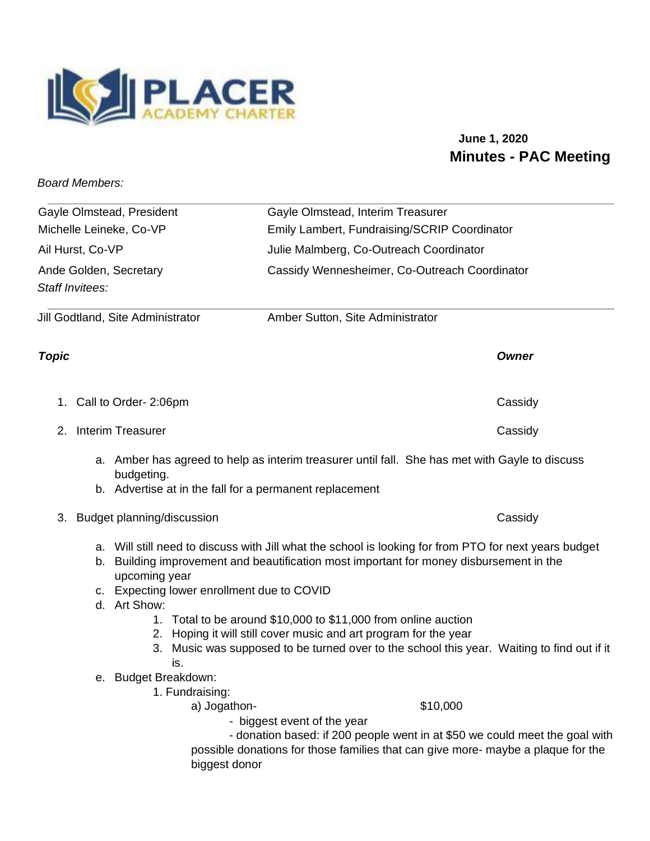

## **June 1, 2020 Minutes - PAC Meeting**

*Board Members:* 

| Gayle Olmstead, President         |                                                                                                                                                                                                                                                                                 |                                                                                                                                                                                                                                  | Gayle Olmstead, Interim Treasurer            |  |
|-----------------------------------|---------------------------------------------------------------------------------------------------------------------------------------------------------------------------------------------------------------------------------------------------------------------------------|----------------------------------------------------------------------------------------------------------------------------------------------------------------------------------------------------------------------------------|----------------------------------------------|--|
| Michelle Leineke, Co-VP           |                                                                                                                                                                                                                                                                                 |                                                                                                                                                                                                                                  | Emily Lambert, Fundraising/SCRIP Coordinator |  |
| Ail Hurst, Co-VP                  |                                                                                                                                                                                                                                                                                 |                                                                                                                                                                                                                                  | Julie Malmberg, Co-Outreach Coordinator      |  |
| Ande Golden, Secretary            |                                                                                                                                                                                                                                                                                 | Cassidy Wennesheimer, Co-Outreach Coordinator                                                                                                                                                                                    |                                              |  |
| Staff Invitees:                   |                                                                                                                                                                                                                                                                                 |                                                                                                                                                                                                                                  |                                              |  |
| Jill Godtland, Site Administrator |                                                                                                                                                                                                                                                                                 | Amber Sutton, Site Administrator                                                                                                                                                                                                 |                                              |  |
| <b>Topic</b>                      |                                                                                                                                                                                                                                                                                 |                                                                                                                                                                                                                                  | <b>Owner</b>                                 |  |
|                                   | 1. Call to Order- 2:06pm                                                                                                                                                                                                                                                        |                                                                                                                                                                                                                                  | Cassidy                                      |  |
| 2.                                | <b>Interim Treasurer</b>                                                                                                                                                                                                                                                        |                                                                                                                                                                                                                                  | Cassidy                                      |  |
|                                   | budgeting.                                                                                                                                                                                                                                                                      | a. Amber has agreed to help as interim treasurer until fall. She has met with Gayle to discuss                                                                                                                                   |                                              |  |
|                                   |                                                                                                                                                                                                                                                                                 | b. Advertise at in the fall for a permanent replacement                                                                                                                                                                          |                                              |  |
| 3.                                | Budget planning/discussion                                                                                                                                                                                                                                                      |                                                                                                                                                                                                                                  | Cassidy                                      |  |
|                                   | a. Will still need to discuss with Jill what the school is looking for from PTO for next years budget<br>b. Building improvement and beautification most important for money disbursement in the<br>upcoming year<br>c. Expecting lower enrollment due to COVID<br>d. Art Show: |                                                                                                                                                                                                                                  |                                              |  |
|                                   | is.<br>e. Budget Breakdown:                                                                                                                                                                                                                                                     | 1. Total to be around \$10,000 to \$11,000 from online auction<br>2. Hoping it will still cover music and art program for the year<br>3. Music was supposed to be turned over to the school this year. Waiting to find out if it |                                              |  |
|                                   | 1. Fundraising:<br>a) Jogathon-                                                                                                                                                                                                                                                 |                                                                                                                                                                                                                                  | \$10,000                                     |  |

- biggest event of the year

- donation based: if 200 people went in at \$50 we could meet the goal with possible donations for those families that can give more- maybe a plaque for the biggest donor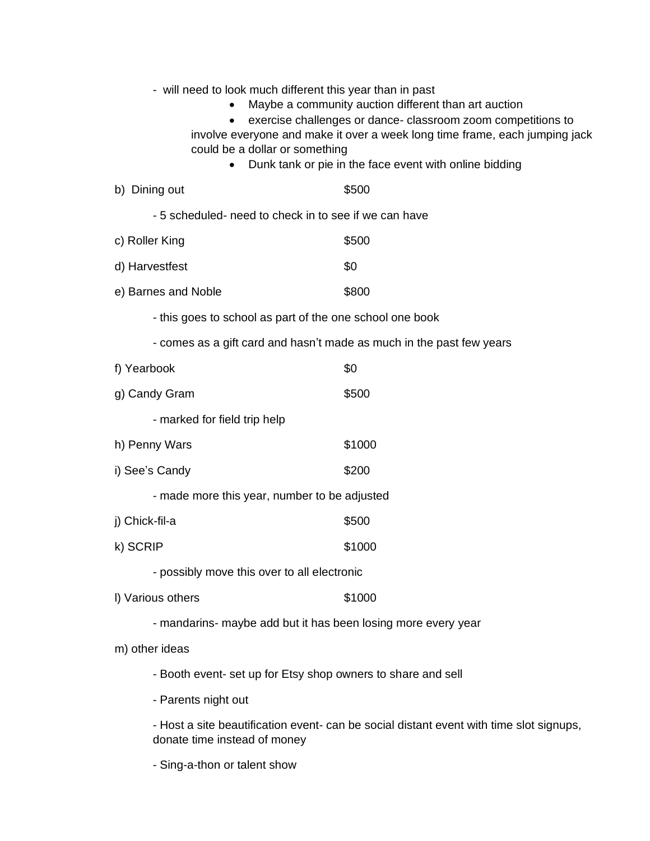| - will need to look much different this year than in past<br>could be a dollar or something                             | Maybe a community auction different than art auction<br>exercise challenges or dance- classroom zoom competitions to<br>involve everyone and make it over a week long time frame, each jumping jack<br>Dunk tank or pie in the face event with online bidding |  |  |  |
|-------------------------------------------------------------------------------------------------------------------------|---------------------------------------------------------------------------------------------------------------------------------------------------------------------------------------------------------------------------------------------------------------|--|--|--|
| b) Dining out                                                                                                           | \$500                                                                                                                                                                                                                                                         |  |  |  |
| -5 scheduled- need to check in to see if we can have                                                                    |                                                                                                                                                                                                                                                               |  |  |  |
| c) Roller King                                                                                                          | \$500                                                                                                                                                                                                                                                         |  |  |  |
| d) Harvestfest                                                                                                          | \$0                                                                                                                                                                                                                                                           |  |  |  |
| e) Barnes and Noble                                                                                                     | \$800                                                                                                                                                                                                                                                         |  |  |  |
| - this goes to school as part of the one school one book                                                                |                                                                                                                                                                                                                                                               |  |  |  |
| - comes as a gift card and hasn't made as much in the past few years                                                    |                                                                                                                                                                                                                                                               |  |  |  |
| f) Yearbook                                                                                                             | \$0                                                                                                                                                                                                                                                           |  |  |  |
| g) Candy Gram                                                                                                           | \$500                                                                                                                                                                                                                                                         |  |  |  |
| - marked for field trip help                                                                                            |                                                                                                                                                                                                                                                               |  |  |  |
| h) Penny Wars                                                                                                           | \$1000                                                                                                                                                                                                                                                        |  |  |  |
| i) See's Candy                                                                                                          | \$200                                                                                                                                                                                                                                                         |  |  |  |
| - made more this year, number to be adjusted                                                                            |                                                                                                                                                                                                                                                               |  |  |  |
| j) Chick-fil-a                                                                                                          | \$500                                                                                                                                                                                                                                                         |  |  |  |
| k) SCRIP                                                                                                                | \$1000                                                                                                                                                                                                                                                        |  |  |  |
| - possibly move this over to all electronic                                                                             |                                                                                                                                                                                                                                                               |  |  |  |
| I) Various others                                                                                                       | \$1000                                                                                                                                                                                                                                                        |  |  |  |
| - mandarins- maybe add but it has been losing more every year                                                           |                                                                                                                                                                                                                                                               |  |  |  |
| m) other ideas                                                                                                          |                                                                                                                                                                                                                                                               |  |  |  |
| - Booth event- set up for Etsy shop owners to share and sell                                                            |                                                                                                                                                                                                                                                               |  |  |  |
| - Parents night out                                                                                                     |                                                                                                                                                                                                                                                               |  |  |  |
| - Host a site beautification event- can be social distant event with time slot signups,<br>donate time instead of money |                                                                                                                                                                                                                                                               |  |  |  |
| - Sing-a-thon or talent show                                                                                            |                                                                                                                                                                                                                                                               |  |  |  |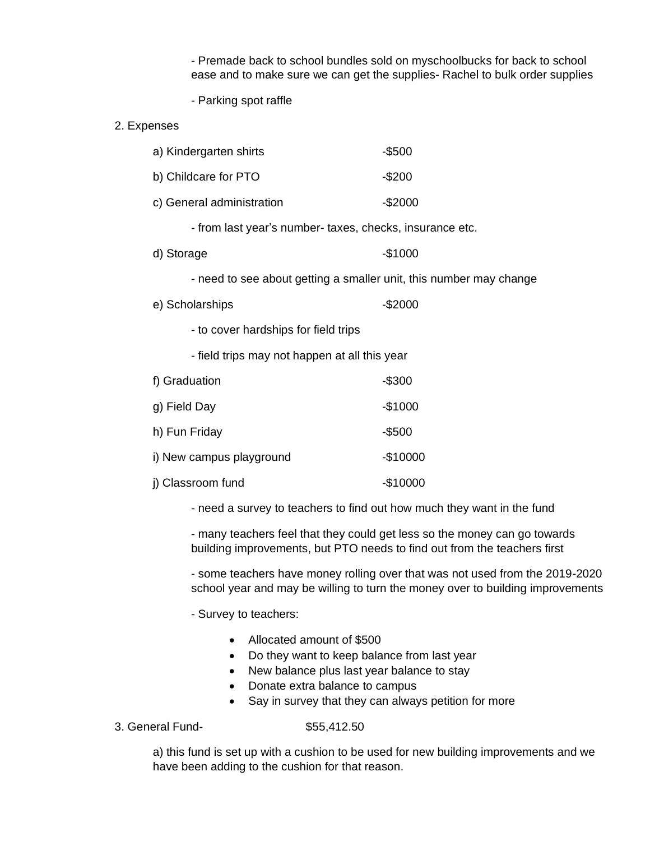- Premade back to school bundles sold on myschoolbucks for back to school ease and to make sure we can get the supplies- Rachel to bulk order supplies

- Parking spot raffle

2. Expenses

| a) Kindergarten shirts                                             |                                                         | $-$ \$500 |  |  |  |
|--------------------------------------------------------------------|---------------------------------------------------------|-----------|--|--|--|
| b) Childcare for PTO                                               |                                                         | $-$200$   |  |  |  |
| c) General administration                                          |                                                         | $-$2000$  |  |  |  |
|                                                                    | - from last year's number-taxes, checks, insurance etc. |           |  |  |  |
| d) Storage                                                         |                                                         | $-$1000$  |  |  |  |
| - need to see about getting a smaller unit, this number may change |                                                         |           |  |  |  |
| e) Scholarships                                                    |                                                         | $-$2000$  |  |  |  |
|                                                                    | - to cover hardships for field trips                    |           |  |  |  |
|                                                                    | - field trips may not happen at all this year           |           |  |  |  |
|                                                                    | f) Graduation                                           | $-$ \$300 |  |  |  |
| g) Field Day                                                       |                                                         | $-$1000$  |  |  |  |
| h) Fun Friday                                                      |                                                         | $-$ \$500 |  |  |  |
| i) New campus playground                                           |                                                         | $-$10000$ |  |  |  |
| j) Classroom fund                                                  |                                                         | $-$10000$ |  |  |  |
|                                                                    |                                                         |           |  |  |  |

- need a survey to teachers to find out how much they want in the fund

- many teachers feel that they could get less so the money can go towards building improvements, but PTO needs to find out from the teachers first

- some teachers have money rolling over that was not used from the 2019-2020 school year and may be willing to turn the money over to building improvements

- Survey to teachers:
	- Allocated amount of \$500
	- Do they want to keep balance from last year
	- New balance plus last year balance to stay
	- Donate extra balance to campus
	- Say in survey that they can always petition for more
- 3. General Fund- \$55,412.50

a) this fund is set up with a cushion to be used for new building improvements and we have been adding to the cushion for that reason.